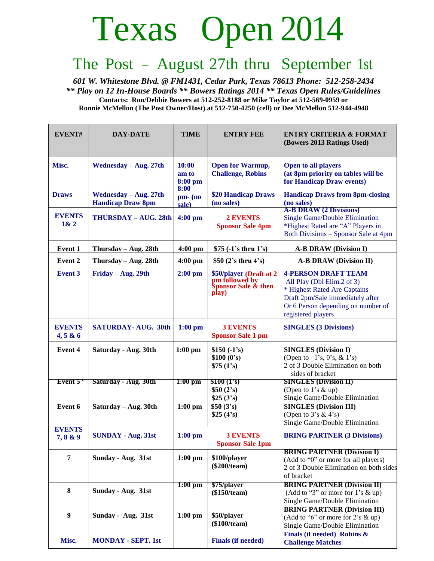## Texas Open 2014

## The Post – August 27th thru September 1st

*601 W. Whitestone Blvd. @ FM1431, Cedar Park, Texas 78613 Phone: 512-258-2434 \*\* Play on 12 In-House Boards \*\* Bowers Ratings 2014 \*\* Texas Open Rules/Guidelines* **Contacts: Ron/Debbie Bowers at 512-252-8188 or Mike Taylor at 512-569-0959 or Ronnie McMellon (The Post Owner/Host) at 512-750-4250 (cell) or Dee McMellon 512-944-4948**

| EVENT#                    | <b>DAY-DATE</b>                                   | <b>TIME</b>                | <b>ENTRY FEE</b>                                                          | <b>ENTRY CRITERIA &amp; FORMAT</b><br>(Bowers 2013 Ratings Used)                                                                                                                         |
|---------------------------|---------------------------------------------------|----------------------------|---------------------------------------------------------------------------|------------------------------------------------------------------------------------------------------------------------------------------------------------------------------------------|
| Misc.                     | Wednesday - Aug. 27th                             | 10:00<br>am to<br>8:00 pm  | <b>Open for Warmup,</b><br><b>Challenge, Robins</b>                       | <b>Open to all players</b><br>(at 8pm priority on tables will be<br>for Handicap Draw events)                                                                                            |
| <b>Draws</b>              | Wednesday - Aug. 27th<br><b>Handicap Draw 8pm</b> | 8:00<br>$pm (no)$<br>sale) | \$20 Handicap Draws<br>(no sales)                                         | <b>Handicap Draws from 8pm-closing</b><br>(no sales)                                                                                                                                     |
| <b>EVENTS</b><br>1& 2     | THURSDAY - AUG. 28th                              | $4:00$ pm                  | <b>2 EVENTS</b><br><b>Sponsor Sale 4pm</b>                                | <b>A-B DRAW</b> (2 Divisions)<br>Single Game/Double Elimination<br>*Highest Rated are "A" Players in<br>Both Divisions – Sponsor Sale at 4pm                                             |
| Event 1                   | Thursday $-$ Aug. 28th                            | $4:00$ pm                  | $$75 (-1's$ thru $1's$ )                                                  | <b>A-B DRAW (Division I)</b>                                                                                                                                                             |
| <b>Event 2</b>            | Thursday $-$ Aug. 28th                            | 4:00 pm                    | \$50 $(2's$ thru $4's)$                                                   | <b>A-B DRAW (Division II)</b>                                                                                                                                                            |
| <b>Event 3</b>            | Friday – Aug. 29th                                | $2:00$ pm                  | \$50/player (Draft at 2<br>pm followed by<br>Sponsor Sale & then<br>play) | <b>4-PERSON DRAFT TEAM</b><br>All Play (Dbl Elim.2 of 3)<br>* Highest Rated Are Captains<br>Draft 2pm/Sale immediately after<br>Or 6 Person depending on number of<br>registered players |
| <b>EVENTS</b><br>4, 5 & 6 | <b>SATURDAY- AUG. 30th</b>                        | $1:00$ pm                  | <b>3 EVENTS</b><br><b>Sponsor Sale 1 pm</b>                               | <b>SINGLES (3 Divisions)</b>                                                                                                                                                             |
| <b>Event 4</b>            | Saturday - Aug. 30th                              | $1:00$ pm                  | $$150 (-1's)$<br>\$100 (0's)<br>\$75 (1's)                                | <b>SINGLES</b> (Division I)<br>(Open to $-1$ 's, 0's, & 1's)<br>2 of 3 Double Elimination on both<br>sides of bracket                                                                    |
| Event 5                   | Saturday - Aug. 30th                              | $1:00$ pm                  | \$100 (1's)<br>\$50(2's)<br>\$25(3's)                                     | <b>SINGLES (Division II)</b><br>(Open to 1's & up)<br>Single Game/Double Elimination                                                                                                     |
| Event 6                   | Saturday – Aug. 30th                              | $1:00$ pm                  | \$50(3's)<br>\$25(4's)                                                    | <b>SINGLES (Division III)</b><br>(Open to $3's \& 4's$ )<br>Single Game/Double Elimination                                                                                               |
| <b>EVENTS</b><br>7,8 & 9  | <b>SUNDAY - Aug. 31st</b>                         | $1:00$ pm                  | <b>3 EVENTS</b><br><b>Sponsor Sale 1pm</b>                                | <b>BRING PARTNER (3 Divisions)</b>                                                                                                                                                       |
| $\overline{7}$            | Sunday - Aug. 31st                                | $1:00$ pm                  | \$100/player<br>$(\$200/team)$                                            | <b>BRING PARTNER (Division I)</b><br>(Add to "0" or more for all players)<br>2 of 3 Double Elimination on both sides<br>of bracket                                                       |
| 8                         | Sunday - Aug. 31st                                | $1:00$ pm                  | \$75/player<br>(\$150/team)                                               | <b>BRING PARTNER (Division II)</b><br>(Add to "3" or more for 1's $\&$ up)<br>Single Game/Double Elimination                                                                             |
| $\boldsymbol{9}$          | Sunday - Aug. 31st                                | $1:00$ pm                  | \$50/player<br>(\$100/team)                                               | <b>BRING PARTNER (Division III)</b><br>(Add to "6" or more for 2's $\&$ up)<br>Single Game/Double Elimination<br>Finals (if needed) Robins $\&$                                          |
| Misc.                     | <b>MONDAY - SEPT. 1st</b>                         |                            | <b>Finals (if needed)</b>                                                 | <b>Challenge Matches</b>                                                                                                                                                                 |